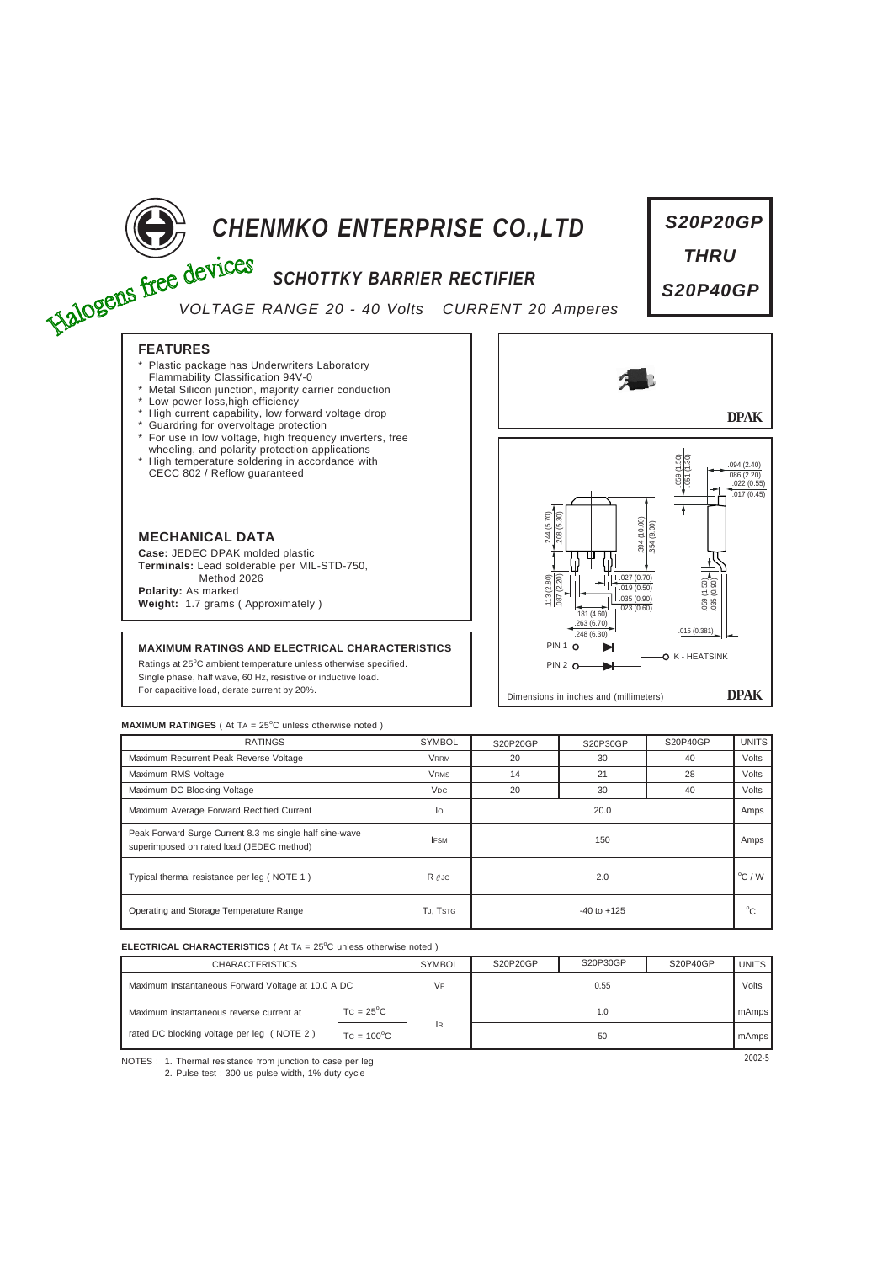

# **CHENMKO ENTERPRISE CO., LTD**<br>
Free devices SCHOTTKY BARRIER RECTIFIER<br>
VOLTAGE RANGE 20

# *SCHOTTKY BARRIER RECTIFIER*

*VOLTAGE RANGE 20 - 40 Volts CURRENT 20 Amperes*

# **FEATURES**

- Plastic package has Underwriters Laboratory
- Flammability Classification 94V-0 \* Metal Silicon junction, majority carrier conduction
- \* Low power loss,high efficiency
- High current capability, low forward voltage drop
- Guardring for overvoltage protection
- For use in low voltage, high frequency inverters, free
- wheeling, and polarity protection applications \* High temperature soldering in accordance with CECC 802 / Reflow guaranteed



**Case:** JEDEC DPAK molded plastic **Terminals:** Lead solderable per MIL-STD-750, Method 2026 **Polarity:** As marked

**Weight:** 1.7 grams ( Approximately )

## **MAXIMUM RATINGS AND ELECTRICAL CHARACTERISTICS**

Ratings at 25°C ambient temperature unless otherwise specified. Single phase, half wave, 60 HZ, resistive or inductive load. For capacitive load, derate current by 20%.



*S20P20GP*

*THRU*

*S20P40GP*

**MAXIMUM RATINGES** ( At TA = 25°C unless otherwise noted )

| <b>RATINGS</b>                                                                                       | <b>SYMBOL</b>         | S20P20GP        | S20P30GP | S20P40GP | <b>UNITS</b>     |
|------------------------------------------------------------------------------------------------------|-----------------------|-----------------|----------|----------|------------------|
| Maximum Recurrent Peak Reverse Voltage                                                               | <b>VRRM</b>           | 20              | 30       | 40       | Volts            |
| Maximum RMS Voltage                                                                                  | <b>VRMS</b>           | 14              | 21       | 28       | Volts            |
| Maximum DC Blocking Voltage                                                                          | <b>V<sub>DC</sub></b> | 20              | 30       | 40       | Volts            |
| Maximum Average Forward Rectified Current                                                            | lo                    | 20.0            |          |          | Amps             |
| Peak Forward Surge Current 8.3 ms single half sine-wave<br>superimposed on rated load (JEDEC method) | <b>IFSM</b>           | 150             |          |          | Amps             |
| Typical thermal resistance per leg (NOTE 1)                                                          | $R \theta$ JC         | 2.0             |          |          | $^{\circ}$ C / W |
| Operating and Storage Temperature Range                                                              | TJ, TSTG              | $-40$ to $+125$ |          |          | $^{\circ}$ C     |

### **ELECTRICAL CHARACTERISTICS** ( At TA = 25°C unless otherwise noted )

| <b>CHARACTERISTICS</b>                             |                     | <b>SYMBOL</b> | S20P20GP | S20P30GP | S20P40GP | UNITS I |
|----------------------------------------------------|---------------------|---------------|----------|----------|----------|---------|
| Maximum Instantaneous Forward Voltage at 10.0 A DC |                     | VF            | 0.55     |          |          | Volts   |
| Maximum instantaneous reverse current at           | $TC = 25^{\circ}C$  |               | 1.0      |          |          | mAmps   |
| rated DC blocking voltage per leg (NOTE 2)         | $TC = 100^{\circ}C$ | <b>IR</b>     | 50       |          |          | mAmps   |

NOTES : 2002-5 1. Thermal resistance from junction to case per leg 2. Pulse test : 300 us pulse width, 1% duty cycle